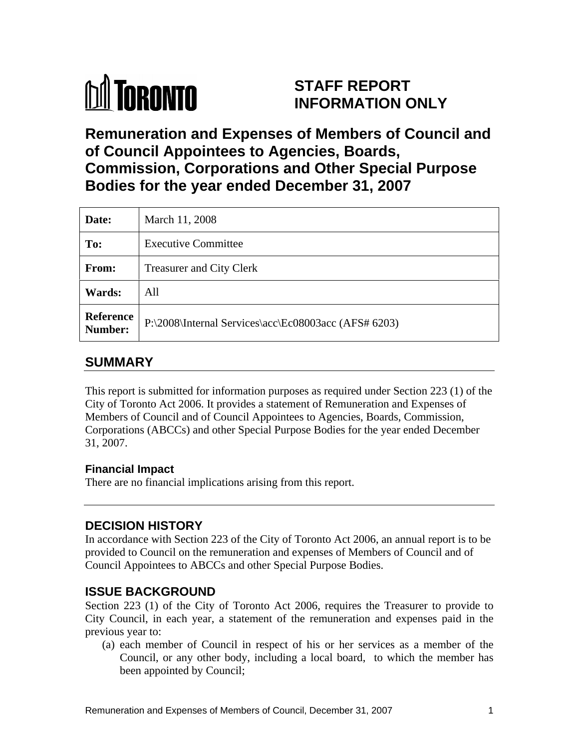

## **STAFF REPORT INFORMATION ONLY**

# **Remuneration and Expenses of Members of Council and of Council Appointees to Agencies, Boards, Commission, Corporations and Other Special Purpose Bodies for the year ended December 31, 2007**

| Date:  | March 11, 2008                                                 |
|--------|----------------------------------------------------------------|
| To:    | <b>Executive Committee</b>                                     |
| From:  | <b>Treasurer and City Clerk</b>                                |
| Wards: | All                                                            |
|        | Reference P:\2008\Internal Services\acc\Ec08003acc (AFS# 6203) |

## **SUMMARY**

This report is submitted for information purposes as required under Section 223 (1) of the City of Toronto Act 2006. It provides a statement of Remuneration and Expenses of Members of Council and of Council Appointees to Agencies, Boards, Commission, Corporations (ABCCs) and other Special Purpose Bodies for the year ended December 31, 2007.

#### **Financial Impact**

There are no financial implications arising from this report.

### **DECISION HISTORY**

In accordance with Section 223 of the City of Toronto Act 2006, an annual report is to be provided to Council on the remuneration and expenses of Members of Council and of Council Appointees to ABCCs and other Special Purpose Bodies.

#### **ISSUE BACKGROUND**

Section 223 (1) of the City of Toronto Act 2006, requires the Treasurer to provide to City Council, in each year, a statement of the remuneration and expenses paid in the previous year to:

(a) each member of Council in respectof his or her services as a member of the Council, or any other body, including a local board, to which the member has been appointed by Council;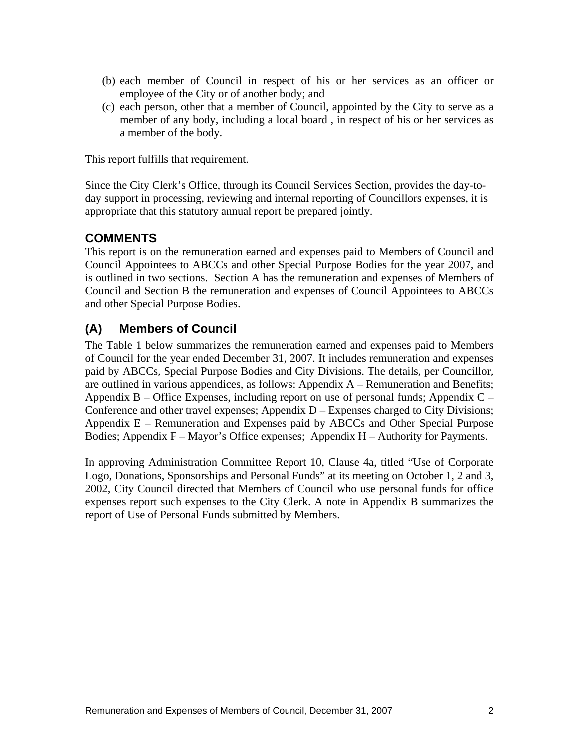- (b) each member of Council in respect of his or her services as an officer or employee of the City or of another body; and
- (c) each person, other that a member of Council, appointed by the City to serve as a member of any body, including a local board , in respect of his or her services as a member of the body.

This report fulfills that requirement.

Since the City Clerk's Office, through its Council Services Section, provides the day-to day support in processing, reviewing and internal reporting of Councillors expenses, it is appropriate that this statutory annual report be prepared jointly.

#### **COMMENTS**

This report is on the remuneration earned and expenses paid to Members of Council and Council Appointees to ABCCs and other Special Purpose Bodies for the year 2007, and is outlined in two sections. Section A has the remuneration and expenses of Members of Council and Section B the remuneration and expenses of Council Appointees to ABCCs and other Special Purpose Bodies.

#### **(A) Members of Council**

The Table 1 below summarizes the remuneration earned and expenses paid to Members of Council for the year ended December 31, 2007. It includes remuneration and expenses paid by ABCCs, Special Purpose Bodies and City Divisions. The details, per Councillor, are outlined in various appendices, as follows: Appendix A – Remuneration and Benefits; Appendix B – Office Expenses, including report on use of personal funds; Appendix  $C -$ Conference and other travel expenses; Appendix D – Expenses charged to City Divisions; Appendix E – Remuneration and Expenses paid by ABCCs and Other Special Purpose Bodies; Appendix F – Mayor's Office expenses; Appendix H – Authority for Payments.

In approving Administration Committee Report 10, Clause 4a, titled "Use of Corporate Logo, Donations, Sponsorships and Personal Funds" at its meeting on October 1, 2 and 3, 2002, City Council directed that Members of Council who use personal funds for office expenses report such expenses to the City Clerk. A notein Appendix B summarizes the report of Use of Personal Funds submitted by Members.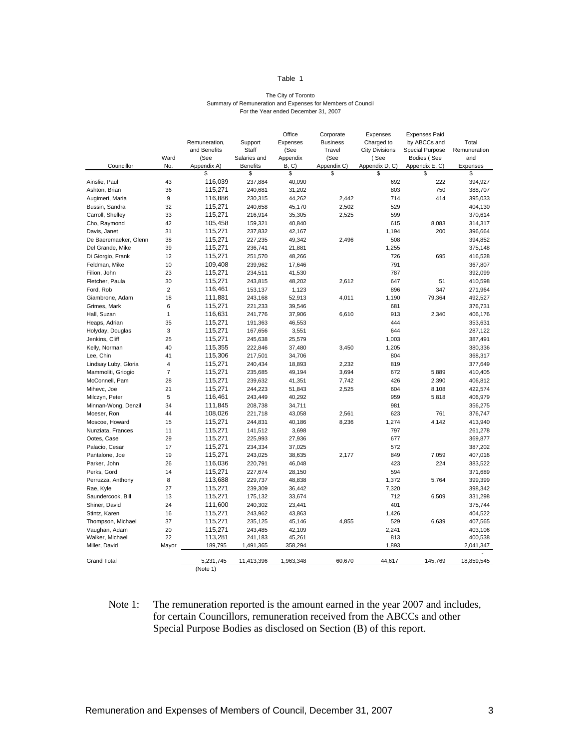#### Table 1 and 1 and 1 and 1 and 1 and 1 and 1 and 1 and 1 and 1 and 1 and 1 and 1 and 1 and 1 and 1 and 1 and 1 and 1 and 1 and 1 and 1 and 1 and 1 and 1 and 1 and 1 and 1 and 1 and 1 and 1 and 1 and 1 and 1 and 1 and 1 and

#### The City of Toronto Summary of Remuneration and Expenses for Members of Council For the Year ended December 31, 2007

|                       |       |                                  |              | Office   | Corporate   | Expenses              | Expenses Paid                 |              |
|-----------------------|-------|----------------------------------|--------------|----------|-------------|-----------------------|-------------------------------|--------------|
|                       |       | Remuneration,                    | Support      | Expenses | Business    | Charged to            | by ABCCs and                  | Total        |
|                       |       | and Benefits                     | Staff        | (See     | Travel      | <b>City Divisions</b> | Special Purpose               | Remuneration |
|                       | Ward  | (See                             | Salaries and | Appendix | (See        | (See                  | Bodies (See                   | and          |
| Councillor<br>_       | No.   | Appendix A)                      | Benefits     | B, C     | Appendix C) |                       | Appendix D, C) Appendix E, C) | Expenses     |
|                       |       |                                  |              |          |             |                       |                               |              |
| Ainslie, Paul         | 43    | 116,039                          | 237,884      | 40,090   |             | 692                   | 222                           | 394,927      |
| Ashton, Brian         | 36    | 115,271                          | 240,681      | 31,202   |             | 803                   | 750                           | 388,707      |
| Augimeri, Maria       |       | 116,886                          | 230,315      | 44,262   | 2,442       | 714                   | 414                           | 395,033      |
| Bussin, Sandra        | 32    | 115,271                          | 240,658      | 45,170   | 2,502       | 529                   |                               | 404,130      |
| Carroll, Shelley      | 33    | 115,271                          | 216,914      | 35,305   | 2,525       | 599                   |                               | 370,614      |
| Cho, Raymond          | 42    | 105,458                          | 159,321      | 40,840   |             | 615                   | 8,083                         | 314,317      |
| Davis, Janet          | 31    | 115,271                          | 237,832      | 42,167   |             | 1,194                 | 200                           | 396,664      |
| De Baeremaeker, Glenn | 38    | 115,271                          | 227,235      | 49,342   | 2,496       | 508                   |                               | 394,852      |
| Del Grande, Mike      | 39    | 115,271                          | 236,741      | 21,881   |             | 1,255                 |                               | 375,148      |
| Di Giorgio, Frank     | 12    | 115,271                          | 251,570      | 48,266   |             | 726                   | 695                           | 416,528      |
| Feldman, Mike         | 10    | 109,408                          | 239,962      | 17,646   |             | 791                   |                               | 367,807      |
| Filion, John          | 23    | 115,271                          | 234,511      | 41,530   |             | 787                   |                               | 392,099      |
| Fletcher, Paula       | 30    | 115,271                          | 243,815      | 48,202   | 2,612       | 647                   | 51                            | 410,598      |
|                       |       | 116,461                          |              |          |             | 896                   |                               |              |
| Ford, Rob             |       |                                  | 153,137      | 1,123    |             |                       | 347                           | 271,964      |
| Giambrone, Adam       | 18    | 111,881                          | 243,168      | 52,913   | 4,011       | 1,190                 | 79,364                        | 492,527      |
| Grimes, Mark          | - 6   | 115,271                          | 221,233      | 39,546   |             | 681                   |                               | 376,731      |
| Hall, Suzan           |       | 116,631                          | 241,776      | 37,906   | 6,610       | 913                   | 2,340                         | 406,176      |
| Heaps, Adrian         | 35    | 115,271                          | 191,363      | 46,553   |             | 444                   |                               | 353,631      |
| Holyday, Douglas      |       | 115,271                          | 167,656      | 3,551    |             | 644                   |                               | 287,122      |
| Jenkins, Cliff        | 25    | 115,271                          | 245,638      | 25,579   |             | 1,003                 |                               | 387,491      |
| Kelly, Norman         | 40    | 115,355                          | 222,846      | 37,480   | 3,450       | 1,205                 |                               | 380,336      |
| Lee, Chin             | 41    | 115,306                          | 217,501      | 34,706   |             | 804                   |                               | 368,317      |
| Lindsay Luby, Gloria  |       | 115,271                          | 240,434      | 18,893   | 2,232       | 819                   |                               | 377,649      |
| Mammoliti, Griogio    |       | 115,271                          | 235,685      | 49,194   | 3,694       | 672                   | 5,889                         | 410,405      |
| McConnell, Pam        | 28    | 115,271                          | 239,632      | 41,351   | 7,742       | 426                   | 2,390                         | 406,812      |
| Mihevc, Joe           | 21    | 115,271                          | 244,223      | 51,843   | 2,525       | 604                   | 8,108                         | 422,574      |
| Milczyn, Peter        |       | 116,461                          | 243,449      | 40,292   |             | 959                   | 5,818                         | 406,979      |
|                       | 34    | 111,845                          | 208,738      | 34,711   |             | 981                   |                               | 356,275      |
| Minnan-Wong, Denzil   | 44    | 108,026                          |              |          |             | 623                   | 761                           | 376,747      |
| Moeser, Ron           | 15    |                                  | 221,718      | 43,058   | 2,561       |                       |                               |              |
| Moscoe, Howard        |       | 115,271                          | 244,831      | 40,186   | 8,236       | 1,274                 | 4,142                         | 413,940      |
| Nunziata, Frances     | 11    | 115,271                          | 141,512      | 3,698    |             | 797                   |                               | 261,278      |
| Ootes, Case           | 29    | 115,271                          | 225,993      | 27,936   |             | 677                   |                               | 369,877      |
| Palacio, Cesar        | 17    | 115,271                          | 234,334      | 37,025   |             | 572                   |                               | 387,202      |
| Pantalone, Joe        | 19    | 115,271                          | 243,025      | 38,635   | 2,177       | 849                   | 7,059                         | 407,016      |
| Parker, John          | 26    | 116,036                          | 220,791      | 46,048   |             | 423                   | 224                           | 383,522      |
| Perks, Gord           | 14    | 115,271                          | 227,674      | 28,150   |             | 594                   |                               | 371,689      |
| Perruzza, Anthony     | - 8   | 113,688                          | 229,737      | 48,838   |             | 1,372                 | 5,764                         | 399,399      |
| Rae, Kyle             | 27    | 115,271                          | 239,309      | 36,442   |             | 7,320                 |                               | 398,342      |
| Saundercook, Bill     | 13    | 115,271                          | 175,132      | 33,674   |             | 712                   | 6,509                         | 331,298      |
| Shiner, David         | 24    | 111,600                          | 240,302      | 23,441   |             | 401                   |                               | 375,744      |
| Stintz, Karen         | 16    | 115,271                          | 243,962      | 43,863   |             | 1,426                 |                               | 404,522      |
| Thompson, Michael     | 37    | 115,271                          | 235,125      | 45,146   | 4,855       | 529                   | 6,639                         | 407,565      |
| Vaughan, Adam         | 20    | 115,271                          | 243,485      | 42,109   |             | 2,241                 |                               | 403,106      |
| Walker, Michael       | 22    | 113,281                          | 241,183      | 45,261   |             | 813                   |                               | 400,538      |
| Miller, David         | Mayor | 189,795                          | 1,491,365    | 358,294  |             | 1,893                 |                               | 2,041,347    |
|                       |       |                                  |              |          |             |                       |                               |              |
| <b>Grand Total</b>    |       | 5,231,745  11,413,396  1,963,348 |              |          | 60,670      |                       |                               |              |
|                       |       | (Note 1)                         |              |          |             |                       |                               |              |

#### Note 1: The remuneration reported is the amount earned in the year 2007 and includes, for certain Councillors, remuneration received from the ABCCs and other Special Purpose Bodies as disclosed on Section (B) of this report.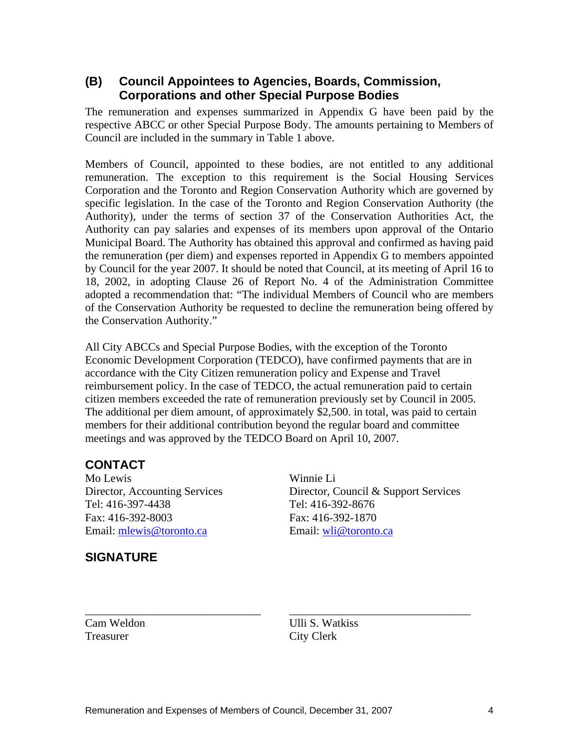#### **(B) Council Appointees to Agencies, Boards, Commission, Corporations and other Special Purpose Bodies**

The remuneration and expenses summarized in Appendix G have been paid by the respective ABCC or other Special Purpose Body. The amounts pertaining to Members of Council are included in the summary in Table 1 above.

 Members of Council, appointed to these bodies, are not entitled to any additional remuneration. The exception to this requirement is the Social Housing Services Corporation and the Toronto and Region Conservation Authority which are governed by specific legislation. In the case of the Toronto and Region Conservation Authority (the Authority), under the terms of section 37 of the Conservation Authorities Act, the Authority can pay salaries and expenses of its members upon approval of the Ontario Municipal Board. The Authority has obtained this approval and confirmed as having paid the remuneration (per diem) and expenses reported in Appendix G to members appointed by Council for the year 2007. It should be noted that Council, at its meeting of April 16 to 18, 2002, in adopting Clause 26 of Report No. 4 of the Administration Committee adopted a recommendation that: "The individual Members of Council who are members of the Conservation Authority be requested to decline the remuneration being offered by the Conservation Authority."

All City ABCCs and Special Purpose Bodies, with the exception of the Toronto Economic Development Corporation (TEDCO), have confirmed payments that are in accordance with the City Citizen remuneration policy and Expense and Travel reimbursement policy. In the case of TEDCO, the actual remuneration paid to certain citizen members exceeded the rate of remuneration previously set by Council in 2005. The additional per diem amount, of approximately \$2,500. in total, was paid to certain members for their additional contribution beyond the regular board and committee meetings and was approved by the TEDCO Board on April 10, 2007.

### **CONTACT**

**SIGNATURE**

Mo Lewis Winnie Li Director, Accounting Services Director, Council & Support Services Tel: 416-397-4438 Tel: 416-392-8676 Fax: 416-392-8003 Fax: 416-392-1870 Email: <u>mlewis@toronto.ca</u> example Email: whi@toronto.ca

Cam Weldon Ulli S. Watkiss Treasurer City Clerk

\_\_\_\_\_\_\_\_\_\_\_\_\_\_\_\_\_\_\_\_\_\_\_\_\_\_\_\_\_\_\_ \_\_\_\_\_\_\_\_\_\_\_\_\_\_\_\_\_\_\_\_\_\_\_\_\_\_\_\_\_\_\_\_